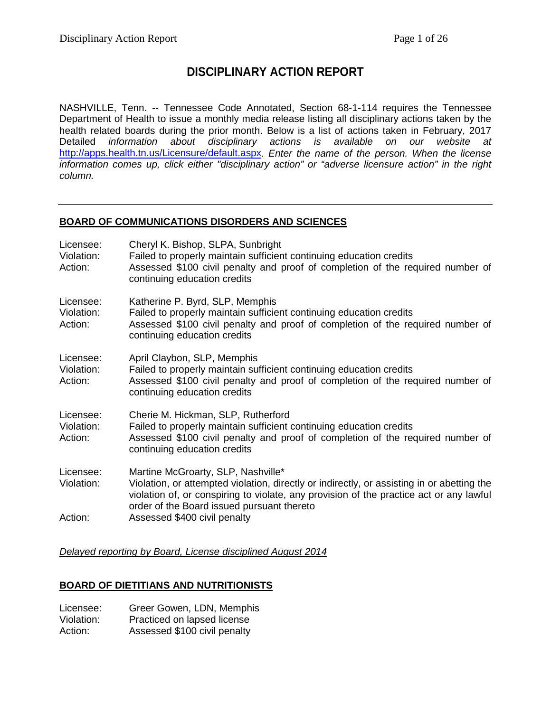# **DISCIPLINARY ACTION REPORT**

NASHVILLE, Tenn. -- Tennessee Code Annotated, Section 68-1-114 requires the Tennessee Department of Health to issue a monthly media release listing all disciplinary actions taken by the health related boards during the prior month. Below is a list of actions taken in February, 2017 Detailed *information about disciplinary actions is available on our website at* <http://apps.health.tn.us/Licensure/default.aspx>*. Enter the name of the person. When the license information comes up, click either "disciplinary action" or "adverse licensure action" in the right column.*

# **BOARD OF COMMUNICATIONS DISORDERS AND SCIENCES**

| Licensee:<br>Violation:<br>Action: | Cheryl K. Bishop, SLPA, Sunbright<br>Failed to properly maintain sufficient continuing education credits<br>Assessed \$100 civil penalty and proof of completion of the required number of<br>continuing education credits                                                |
|------------------------------------|---------------------------------------------------------------------------------------------------------------------------------------------------------------------------------------------------------------------------------------------------------------------------|
| Licensee:<br>Violation:<br>Action: | Katherine P. Byrd, SLP, Memphis<br>Failed to properly maintain sufficient continuing education credits<br>Assessed \$100 civil penalty and proof of completion of the required number of<br>continuing education credits                                                  |
| Licensee:<br>Violation:<br>Action: | April Claybon, SLP, Memphis<br>Failed to properly maintain sufficient continuing education credits<br>Assessed \$100 civil penalty and proof of completion of the required number of<br>continuing education credits                                                      |
| Licensee:<br>Violation:<br>Action: | Cherie M. Hickman, SLP, Rutherford<br>Failed to properly maintain sufficient continuing education credits<br>Assessed \$100 civil penalty and proof of completion of the required number of<br>continuing education credits                                               |
| Licensee:<br>Violation:            | Martine McGroarty, SLP, Nashville*<br>Violation, or attempted violation, directly or indirectly, or assisting in or abetting the<br>violation of, or conspiring to violate, any provision of the practice act or any lawful<br>order of the Board issued pursuant thereto |
| Action:                            | Assessed \$400 civil penalty                                                                                                                                                                                                                                              |

*Delayed reporting by Board, License disciplined August 2014*

# **BOARD OF DIETITIANS AND NUTRITIONISTS**

| Licensee:  | Greer Gowen, LDN, Memphis    |
|------------|------------------------------|
| Violation: | Practiced on lapsed license  |
| Action:    | Assessed \$100 civil penalty |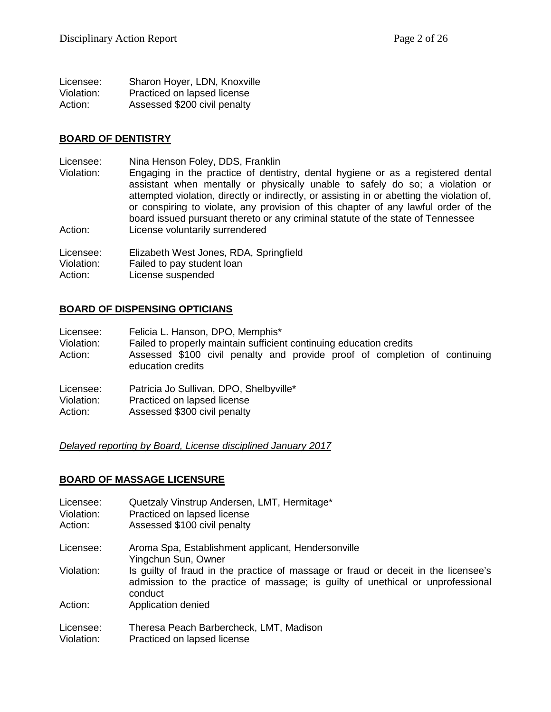| Licensee:  | Sharon Hoyer, LDN, Knoxville |
|------------|------------------------------|
| Violation: | Practiced on lapsed license  |
| Action:    | Assessed \$200 civil penalty |

#### **BOARD OF DENTISTRY**

Licensee: Nina Henson Foley, DDS, Franklin<br>Violation: Engaging in the practice of dentis

Engaging in the practice of dentistry, dental hygiene or as a registered dental assistant when mentally or physically unable to safely do so; a violation or attempted violation, directly or indirectly, or assisting in or abetting the violation of, or conspiring to violate, any provision of this chapter of any lawful order of the board issued pursuant thereto or any criminal statute of the state of Tennessee Action: License voluntarily surrendered

Licensee: Elizabeth West Jones, RDA, Springfield<br>Violation: Failed to pay student loan

Failed to pay student loan

Action: License suspended

# **BOARD OF DISPENSING OPTICIANS**

| Licensee:<br>Violation:<br>Action: | Felicia L. Hanson, DPO, Memphis*<br>Failed to properly maintain sufficient continuing education credits<br>Assessed \$100 civil penalty and provide proof of completion of continuing<br>education credits |
|------------------------------------|------------------------------------------------------------------------------------------------------------------------------------------------------------------------------------------------------------|
| Liconson:                          | Datricia la Sullivan DDA Shalbwille*                                                                                                                                                                       |

Licensee: Patricia Jo Sullivan, DPO, Shelbyville\*

Violation: Practiced on lapsed license

Action: Assessed \$300 civil penalty

*Delayed reporting by Board, License disciplined January 2017*

# **BOARD OF MASSAGE LICENSURE**

| Licensee:<br>Violation:<br>Action: | Quetzaly Vinstrup Andersen, LMT, Hermitage*<br>Practiced on lapsed license<br>Assessed \$100 civil penalty                                                                                             |
|------------------------------------|--------------------------------------------------------------------------------------------------------------------------------------------------------------------------------------------------------|
| Licensee:                          | Aroma Spa, Establishment applicant, Hendersonville                                                                                                                                                     |
| Violation:                         | Yingchun Sun, Owner<br>Is guilty of fraud in the practice of massage or fraud or deceit in the licensee's<br>admission to the practice of massage; is guilty of unethical or unprofessional<br>conduct |
| Action:                            | Application denied                                                                                                                                                                                     |
| Licensee:<br>Violation:            | Theresa Peach Barbercheck, LMT, Madison<br>Practiced on lapsed license                                                                                                                                 |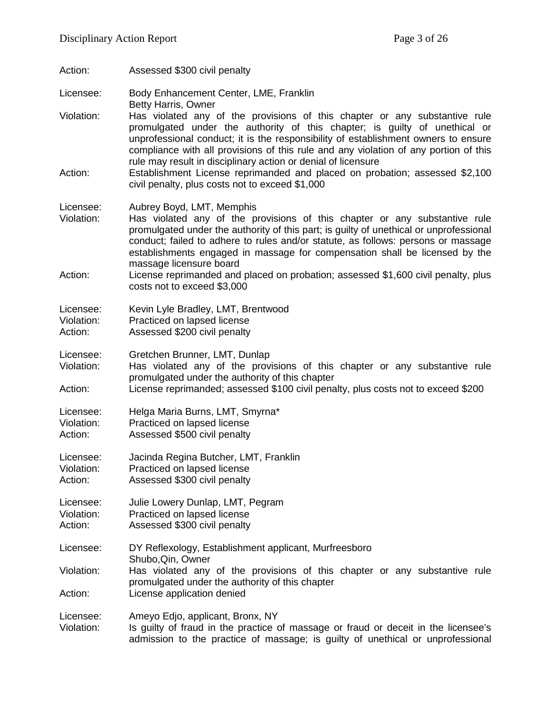| Action:                            | Assessed \$300 civil penalty                                                                                                                                                                                                                                                                                                                                                                                                                                                                                                                                            |
|------------------------------------|-------------------------------------------------------------------------------------------------------------------------------------------------------------------------------------------------------------------------------------------------------------------------------------------------------------------------------------------------------------------------------------------------------------------------------------------------------------------------------------------------------------------------------------------------------------------------|
| Licensee:                          | Body Enhancement Center, LME, Franklin                                                                                                                                                                                                                                                                                                                                                                                                                                                                                                                                  |
| Violation:<br>Action:              | <b>Betty Harris, Owner</b><br>Has violated any of the provisions of this chapter or any substantive rule<br>promulgated under the authority of this chapter; is guilty of unethical or<br>unprofessional conduct; it is the responsibility of establishment owners to ensure<br>compliance with all provisions of this rule and any violation of any portion of this<br>rule may result in disciplinary action or denial of licensure<br>Establishment License reprimanded and placed on probation; assessed \$2,100<br>civil penalty, plus costs not to exceed \$1,000 |
| Licensee:<br>Violation:<br>Action: | Aubrey Boyd, LMT, Memphis<br>Has violated any of the provisions of this chapter or any substantive rule<br>promulgated under the authority of this part; is guilty of unethical or unprofessional<br>conduct; failed to adhere to rules and/or statute, as follows: persons or massage<br>establishments engaged in massage for compensation shall be licensed by the<br>massage licensure board<br>License reprimanded and placed on probation; assessed \$1,600 civil penalty, plus<br>costs not to exceed \$3,000                                                    |
| Licensee:<br>Violation:<br>Action: | Kevin Lyle Bradley, LMT, Brentwood<br>Practiced on lapsed license<br>Assessed \$200 civil penalty                                                                                                                                                                                                                                                                                                                                                                                                                                                                       |
| Licensee:<br>Violation:<br>Action: | Gretchen Brunner, LMT, Dunlap<br>Has violated any of the provisions of this chapter or any substantive rule<br>promulgated under the authority of this chapter<br>License reprimanded; assessed \$100 civil penalty, plus costs not to exceed \$200                                                                                                                                                                                                                                                                                                                     |
| Licensee:<br>Violation:<br>Action: | Helga Maria Burns, LMT, Smyrna*<br>Practiced on lapsed license<br>Assessed \$500 civil penalty                                                                                                                                                                                                                                                                                                                                                                                                                                                                          |
| Licensee:<br>Violation:<br>Action: | Jacinda Regina Butcher, LMT, Franklin<br>Practiced on lapsed license<br>Assessed \$300 civil penalty                                                                                                                                                                                                                                                                                                                                                                                                                                                                    |
| Licensee:<br>Violation:<br>Action: | Julie Lowery Dunlap, LMT, Pegram<br>Practiced on lapsed license<br>Assessed \$300 civil penalty                                                                                                                                                                                                                                                                                                                                                                                                                                                                         |
| Licensee:                          | DY Reflexology, Establishment applicant, Murfreesboro<br>Shubo, Qin, Owner                                                                                                                                                                                                                                                                                                                                                                                                                                                                                              |
| Violation:<br>Action:              | Has violated any of the provisions of this chapter or any substantive rule<br>promulgated under the authority of this chapter<br>License application denied                                                                                                                                                                                                                                                                                                                                                                                                             |
| Licensee:<br>Violation:            | Ameyo Edjo, applicant, Bronx, NY<br>Is guilty of fraud in the practice of massage or fraud or deceit in the licensee's<br>admission to the practice of massage; is guilty of unethical or unprofessional                                                                                                                                                                                                                                                                                                                                                                |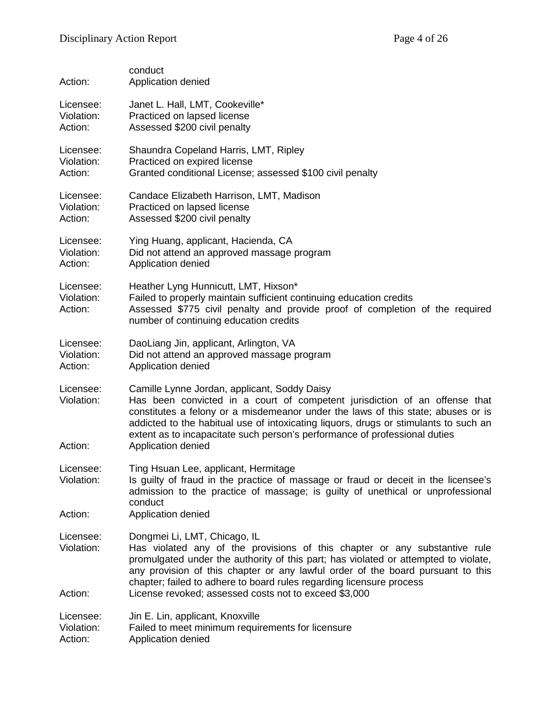| Action:                            | conduct<br>Application denied                                                                                                                                                                                                                                                                                                                                                                              |
|------------------------------------|------------------------------------------------------------------------------------------------------------------------------------------------------------------------------------------------------------------------------------------------------------------------------------------------------------------------------------------------------------------------------------------------------------|
| Licensee:<br>Violation:<br>Action: | Janet L. Hall, LMT, Cookeville*<br>Practiced on lapsed license<br>Assessed \$200 civil penalty                                                                                                                                                                                                                                                                                                             |
| Licensee:<br>Violation:<br>Action: | Shaundra Copeland Harris, LMT, Ripley<br>Practiced on expired license<br>Granted conditional License; assessed \$100 civil penalty                                                                                                                                                                                                                                                                         |
| Licensee:<br>Violation:<br>Action: | Candace Elizabeth Harrison, LMT, Madison<br>Practiced on lapsed license<br>Assessed \$200 civil penalty                                                                                                                                                                                                                                                                                                    |
| Licensee:<br>Violation:<br>Action: | Ying Huang, applicant, Hacienda, CA<br>Did not attend an approved massage program<br>Application denied                                                                                                                                                                                                                                                                                                    |
| Licensee:<br>Violation:<br>Action: | Heather Lyng Hunnicutt, LMT, Hixson*<br>Failed to properly maintain sufficient continuing education credits<br>Assessed \$775 civil penalty and provide proof of completion of the required<br>number of continuing education credits                                                                                                                                                                      |
| Licensee:<br>Violation:<br>Action: | DaoLiang Jin, applicant, Arlington, VA<br>Did not attend an approved massage program<br>Application denied                                                                                                                                                                                                                                                                                                 |
| Licensee:<br>Violation:<br>Action: | Camille Lynne Jordan, applicant, Soddy Daisy<br>Has been convicted in a court of competent jurisdiction of an offense that<br>constitutes a felony or a misdemeanor under the laws of this state; abuses or is<br>addicted to the habitual use of intoxicating liquors, drugs or stimulants to such an<br>extent as to incapacitate such person's performance of professional duties<br>Application denied |
| Licensee:<br>Violation:            | Ting Hsuan Lee, applicant, Hermitage<br>Is guilty of fraud in the practice of massage or fraud or deceit in the licensee's<br>admission to the practice of massage; is guilty of unethical or unprofessional<br>conduct                                                                                                                                                                                    |
| Action:                            | Application denied                                                                                                                                                                                                                                                                                                                                                                                         |
| Licensee:<br>Violation:            | Dongmei Li, LMT, Chicago, IL<br>Has violated any of the provisions of this chapter or any substantive rule<br>promulgated under the authority of this part; has violated or attempted to violate,<br>any provision of this chapter or any lawful order of the board pursuant to this<br>chapter; failed to adhere to board rules regarding licensure process                                               |
| Action:                            | License revoked; assessed costs not to exceed \$3,000                                                                                                                                                                                                                                                                                                                                                      |
| Licensee:<br>Violation:<br>Action: | Jin E. Lin, applicant, Knoxville<br>Failed to meet minimum requirements for licensure<br>Application denied                                                                                                                                                                                                                                                                                                |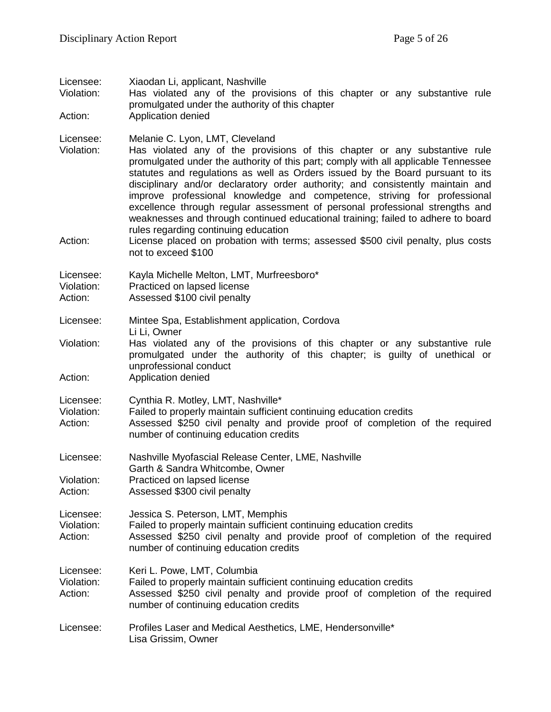| Licensee:<br>Violation:            | Xiaodan Li, applicant, Nashville<br>Has violated any of the provisions of this chapter or any substantive rule<br>promulgated under the authority of this chapter                                                                                                                                                                                                                                                                                                                                                                                                                                                                                                                                                                                                          |
|------------------------------------|----------------------------------------------------------------------------------------------------------------------------------------------------------------------------------------------------------------------------------------------------------------------------------------------------------------------------------------------------------------------------------------------------------------------------------------------------------------------------------------------------------------------------------------------------------------------------------------------------------------------------------------------------------------------------------------------------------------------------------------------------------------------------|
| Action:                            | Application denied                                                                                                                                                                                                                                                                                                                                                                                                                                                                                                                                                                                                                                                                                                                                                         |
| Licensee:<br>Violation:<br>Action: | Melanie C. Lyon, LMT, Cleveland<br>Has violated any of the provisions of this chapter or any substantive rule<br>promulgated under the authority of this part; comply with all applicable Tennessee<br>statutes and regulations as well as Orders issued by the Board pursuant to its<br>disciplinary and/or declaratory order authority; and consistently maintain and<br>improve professional knowledge and competence, striving for professional<br>excellence through regular assessment of personal professional strengths and<br>weaknesses and through continued educational training; failed to adhere to board<br>rules regarding continuing education<br>License placed on probation with terms; assessed \$500 civil penalty, plus costs<br>not to exceed \$100 |
| Licensee:<br>Violation:<br>Action: | Kayla Michelle Melton, LMT, Murfreesboro*<br>Practiced on lapsed license<br>Assessed \$100 civil penalty                                                                                                                                                                                                                                                                                                                                                                                                                                                                                                                                                                                                                                                                   |
| Licensee:                          | Mintee Spa, Establishment application, Cordova                                                                                                                                                                                                                                                                                                                                                                                                                                                                                                                                                                                                                                                                                                                             |
| Violation:                         | Li Li, Owner<br>Has violated any of the provisions of this chapter or any substantive rule<br>promulgated under the authority of this chapter; is guilty of unethical or<br>unprofessional conduct                                                                                                                                                                                                                                                                                                                                                                                                                                                                                                                                                                         |
| Action:                            | Application denied                                                                                                                                                                                                                                                                                                                                                                                                                                                                                                                                                                                                                                                                                                                                                         |
| Licensee:<br>Violation:<br>Action: | Cynthia R. Motley, LMT, Nashville*<br>Failed to properly maintain sufficient continuing education credits<br>Assessed \$250 civil penalty and provide proof of completion of the required<br>number of continuing education credits                                                                                                                                                                                                                                                                                                                                                                                                                                                                                                                                        |
| Licensee:<br>Violation:<br>Action: | Nashville Myofascial Release Center, LME, Nashville<br>Garth & Sandra Whitcombe, Owner<br>Practiced on lapsed license<br>Assessed \$300 civil penalty                                                                                                                                                                                                                                                                                                                                                                                                                                                                                                                                                                                                                      |
| Licensee:<br>Violation:<br>Action: | Jessica S. Peterson, LMT, Memphis<br>Failed to properly maintain sufficient continuing education credits<br>Assessed \$250 civil penalty and provide proof of completion of the required<br>number of continuing education credits                                                                                                                                                                                                                                                                                                                                                                                                                                                                                                                                         |
| Licensee:<br>Violation:<br>Action: | Keri L. Powe, LMT, Columbia<br>Failed to properly maintain sufficient continuing education credits<br>Assessed \$250 civil penalty and provide proof of completion of the required<br>number of continuing education credits                                                                                                                                                                                                                                                                                                                                                                                                                                                                                                                                               |
| Licensee:                          | Profiles Laser and Medical Aesthetics, LME, Hendersonville*<br>Lisa Grissim, Owner                                                                                                                                                                                                                                                                                                                                                                                                                                                                                                                                                                                                                                                                                         |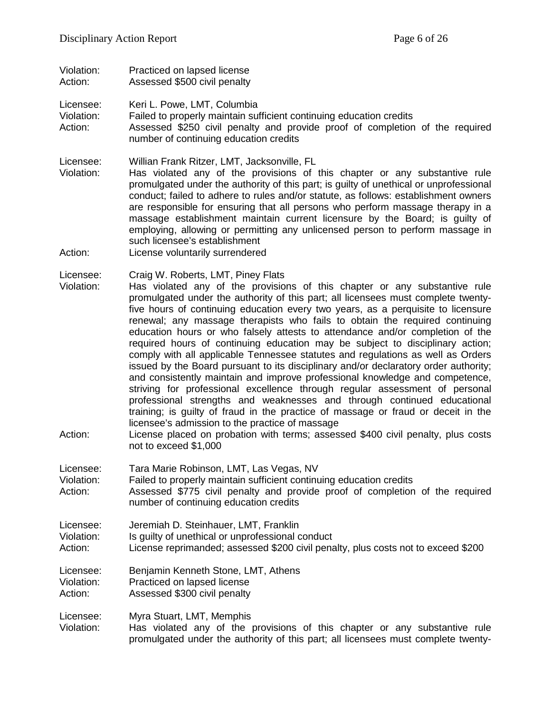Violation: Practiced on lapsed license<br>Action: Assessed \$500 civil penalty Assessed \$500 civil penalty

Licensee: Keri L. Powe, LMT, Columbia

Violation: Failed to properly maintain sufficient continuing education credits Action: Assessed \$250 civil penalty and provide proof of completion of the required number of continuing education credits

- Licensee: Willian Frank Ritzer, LMT, Jacksonville, FL
- Has violated any of the provisions of this chapter or any substantive rule promulgated under the authority of this part; is guilty of unethical or unprofessional conduct; failed to adhere to rules and/or statute, as follows: establishment owners are responsible for ensuring that all persons who perform massage therapy in a massage establishment maintain current licensure by the Board; is guilty of employing, allowing or permitting any unlicensed person to perform massage in such licensee's establishment
- Action: License voluntarily surrendered

Licensee: Craig W. Roberts, LMT, Piney Flats

- Violation: Has violated any of the provisions of this chapter or any substantive rule promulgated under the authority of this part; all licensees must complete twentyfive hours of continuing education every two years, as a perquisite to licensure renewal; any massage therapists who fails to obtain the required continuing education hours or who falsely attests to attendance and/or completion of the required hours of continuing education may be subject to disciplinary action; comply with all applicable Tennessee statutes and regulations as well as Orders issued by the Board pursuant to its disciplinary and/or declaratory order authority; and consistently maintain and improve professional knowledge and competence, striving for professional excellence through regular assessment of personal professional strengths and weaknesses and through continued educational training; is guilty of fraud in the practice of massage or fraud or deceit in the licensee's admission to the practice of massage
- Action: License placed on probation with terms; assessed \$400 civil penalty, plus costs not to exceed \$1,000
- Licensee: Tara Marie Robinson, LMT, Las Vegas, NV
- Violation: Failed to properly maintain sufficient continuing education credits
- Action: Assessed \$775 civil penalty and provide proof of completion of the required number of continuing education credits
- Licensee: Jeremiah D. Steinhauer, LMT, Franklin
- Violation: Is guilty of unethical or unprofessional conduct
- Action: License reprimanded; assessed \$200 civil penalty, plus costs not to exceed \$200

Licensee: Benjamin Kenneth Stone, LMT, Athens Violation: Practiced on lapsed license<br>Action: Assessed \$300 civil penalty Assessed \$300 civil penalty

Licensee: Myra Stuart, LMT, Memphis

Violation: Has violated any of the provisions of this chapter or any substantive rule promulgated under the authority of this part; all licensees must complete twenty-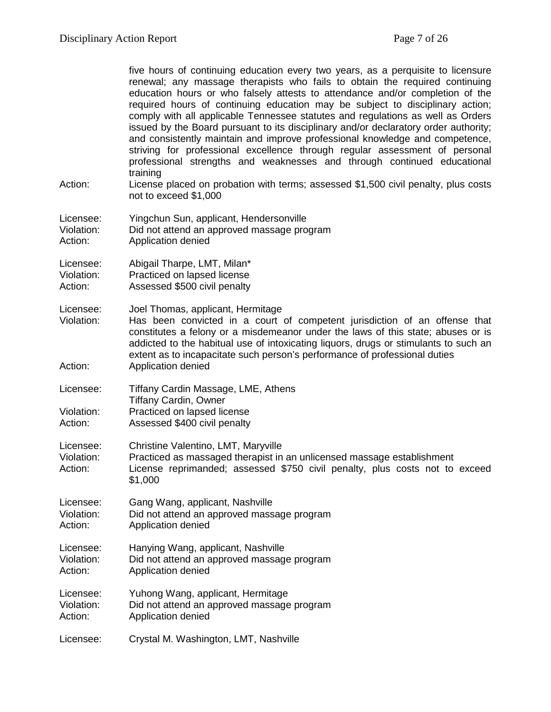|                                    | five hours of continuing education every two years, as a perquisite to licensure<br>renewal; any massage therapists who fails to obtain the required continuing<br>education hours or who falsely attests to attendance and/or completion of the<br>required hours of continuing education may be subject to disciplinary action;<br>comply with all applicable Tennessee statutes and regulations as well as Orders<br>issued by the Board pursuant to its disciplinary and/or declaratory order authority;<br>and consistently maintain and improve professional knowledge and competence,<br>striving for professional excellence through regular assessment of personal<br>professional strengths and weaknesses and through continued educational<br>training |
|------------------------------------|--------------------------------------------------------------------------------------------------------------------------------------------------------------------------------------------------------------------------------------------------------------------------------------------------------------------------------------------------------------------------------------------------------------------------------------------------------------------------------------------------------------------------------------------------------------------------------------------------------------------------------------------------------------------------------------------------------------------------------------------------------------------|
| Action:                            | License placed on probation with terms; assessed \$1,500 civil penalty, plus costs<br>not to exceed \$1,000                                                                                                                                                                                                                                                                                                                                                                                                                                                                                                                                                                                                                                                        |
| Licensee:<br>Violation:<br>Action: | Yingchun Sun, applicant, Hendersonville<br>Did not attend an approved massage program<br>Application denied                                                                                                                                                                                                                                                                                                                                                                                                                                                                                                                                                                                                                                                        |
| Licensee:<br>Violation:<br>Action: | Abigail Tharpe, LMT, Milan*<br>Practiced on lapsed license<br>Assessed \$500 civil penalty                                                                                                                                                                                                                                                                                                                                                                                                                                                                                                                                                                                                                                                                         |
| Licensee:<br>Violation:<br>Action: | Joel Thomas, applicant, Hermitage<br>Has been convicted in a court of competent jurisdiction of an offense that<br>constitutes a felony or a misdemeanor under the laws of this state; abuses or is<br>addicted to the habitual use of intoxicating liquors, drugs or stimulants to such an<br>extent as to incapacitate such person's performance of professional duties<br>Application denied                                                                                                                                                                                                                                                                                                                                                                    |
| Licensee:                          | Tiffany Cardin Massage, LME, Athens                                                                                                                                                                                                                                                                                                                                                                                                                                                                                                                                                                                                                                                                                                                                |
| Violation:<br>Action:              | <b>Tiffany Cardin, Owner</b><br>Practiced on lapsed license<br>Assessed \$400 civil penalty                                                                                                                                                                                                                                                                                                                                                                                                                                                                                                                                                                                                                                                                        |
| Licensee:<br>Violation:<br>Action: | Christine Valentino, LMT, Maryville<br>Practiced as massaged therapist in an unlicensed massage establishment<br>License reprimanded; assessed \$750 civil penalty, plus costs not to exceed<br>\$1,000                                                                                                                                                                                                                                                                                                                                                                                                                                                                                                                                                            |
| Licensee:<br>Violation:<br>Action: | Gang Wang, applicant, Nashville<br>Did not attend an approved massage program<br>Application denied                                                                                                                                                                                                                                                                                                                                                                                                                                                                                                                                                                                                                                                                |
| Licensee:<br>Violation:<br>Action: | Hanying Wang, applicant, Nashville<br>Did not attend an approved massage program<br>Application denied                                                                                                                                                                                                                                                                                                                                                                                                                                                                                                                                                                                                                                                             |
| Licensee:<br>Violation:<br>Action: | Yuhong Wang, applicant, Hermitage<br>Did not attend an approved massage program<br>Application denied                                                                                                                                                                                                                                                                                                                                                                                                                                                                                                                                                                                                                                                              |
| Licensee:                          | Crystal M. Washington, LMT, Nashville                                                                                                                                                                                                                                                                                                                                                                                                                                                                                                                                                                                                                                                                                                                              |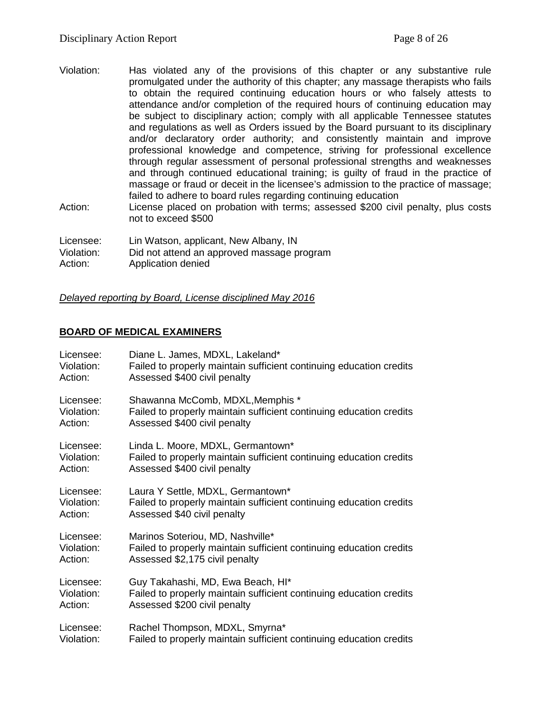- Violation: Has violated any of the provisions of this chapter or any substantive rule promulgated under the authority of this chapter; any massage therapists who fails to obtain the required continuing education hours or who falsely attests to attendance and/or completion of the required hours of continuing education may be subject to disciplinary action; comply with all applicable Tennessee statutes and regulations as well as Orders issued by the Board pursuant to its disciplinary and/or declaratory order authority; and consistently maintain and improve professional knowledge and competence, striving for professional excellence through regular assessment of personal professional strengths and weaknesses and through continued educational training; is guilty of fraud in the practice of massage or fraud or deceit in the licensee's admission to the practice of massage; failed to adhere to board rules regarding continuing education
- Action: License placed on probation with terms; assessed \$200 civil penalty, plus costs not to exceed \$500

Licensee: Lin Watson, applicant, New Albany, IN Violation: Did not attend an approved massage program Action: Application denied

*Delayed reporting by Board, License disciplined May 2016*

# **BOARD OF MEDICAL EXAMINERS**

| Licensee:  | Diane L. James, MDXL, Lakeland*                                     |
|------------|---------------------------------------------------------------------|
| Violation: | Failed to properly maintain sufficient continuing education credits |
| Action:    | Assessed \$400 civil penalty                                        |
| Licensee:  | Shawanna McComb, MDXL, Memphis *                                    |
| Violation: | Failed to properly maintain sufficient continuing education credits |
| Action:    | Assessed \$400 civil penalty                                        |
| Licensee:  | Linda L. Moore, MDXL, Germantown*                                   |
| Violation: | Failed to properly maintain sufficient continuing education credits |
| Action:    | Assessed \$400 civil penalty                                        |
| Licensee:  | Laura Y Settle, MDXL, Germantown*                                   |
| Violation: | Failed to properly maintain sufficient continuing education credits |
| Action:    | Assessed \$40 civil penalty                                         |
| Licensee:  | Marinos Soteriou, MD, Nashville*                                    |
| Violation: | Failed to properly maintain sufficient continuing education credits |
| Action:    | Assessed \$2,175 civil penalty                                      |
| Licensee:  | Guy Takahashi, MD, Ewa Beach, HI*                                   |
| Violation: | Failed to properly maintain sufficient continuing education credits |
| Action:    | Assessed \$200 civil penalty                                        |
| Licensee:  | Rachel Thompson, MDXL, Smyrna*                                      |
| Violation: | Failed to properly maintain sufficient continuing education credits |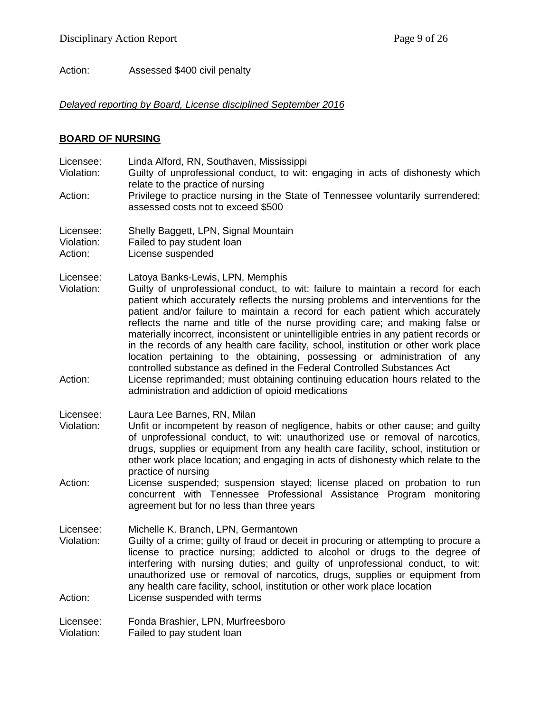Action: Assessed \$400 civil penalty

#### *Delayed reporting by Board, License disciplined September 2016*

#### **BOARD OF NURSING**

Licensee: Linda Alford, RN, Southaven, Mississippi Guilty of unprofessional conduct, to wit: engaging in acts of dishonesty which relate to the practice of nursing Action: Privilege to practice nursing in the State of Tennessee voluntarily surrendered; assessed costs not to exceed \$500 Licensee: Shelly Baggett, LPN, Signal Mountain Violation: Failed to pay student loan Action: License suspended Licensee: Latoya Banks-Lewis, LPN, Memphis Violation: Guilty of unprofessional conduct, to wit: failure to maintain a record for each patient which accurately reflects the nursing problems and interventions for the patient and/or failure to maintain a record for each patient which accurately reflects the name and title of the nurse providing care; and making false or materially incorrect, inconsistent or unintelligible entries in any patient records or in the records of any health care facility, school, institution or other work place location pertaining to the obtaining, possessing or administration of any controlled substance as defined in the Federal Controlled Substances Act Action: License reprimanded; must obtaining continuing education hours related to the administration and addiction of opioid medications Licensee: Laura Lee Barnes, RN, Milan Violation: Unfit or incompetent by reason of negligence, habits or other cause; and guilty of unprofessional conduct, to wit: unauthorized use or removal of narcotics, drugs, supplies or equipment from any health care facility, school, institution or other work place location; and engaging in acts of dishonesty which relate to the practice of nursing Action: License suspended; suspension stayed; license placed on probation to run concurrent with Tennessee Professional Assistance Program monitoring agreement but for no less than three years Licensee: Michelle K. Branch, LPN, Germantown Violation: Guilty of a crime; guilty of fraud or deceit in procuring or attempting to procure a license to practice nursing; addicted to alcohol or drugs to the degree of interfering with nursing duties; and guilty of unprofessional conduct, to wit: unauthorized use or removal of narcotics, drugs, supplies or equipment from any health care facility, school, institution or other work place location Action: License suspended with terms Licensee: Fonda Brashier, LPN, Murfreesboro Violation: Failed to pay student loan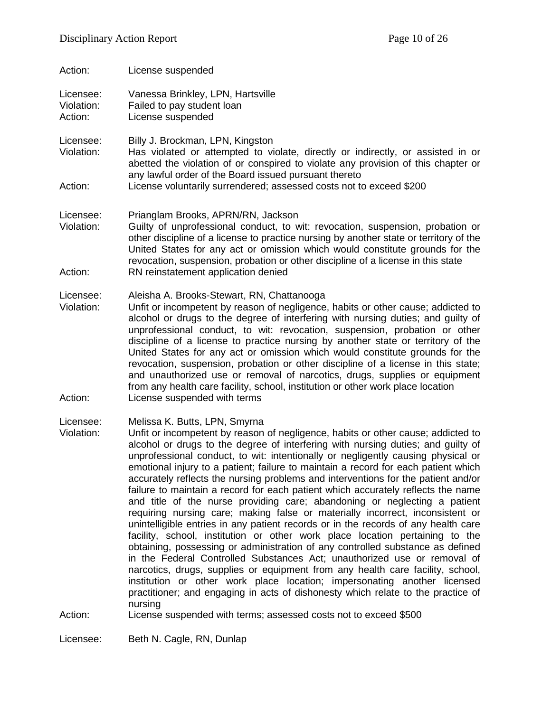| Action:                            | License suspended                                                                                                                                                                                                                                                                                                                                                                                                                                                                                                                                                                                                                                                                                                                                          |
|------------------------------------|------------------------------------------------------------------------------------------------------------------------------------------------------------------------------------------------------------------------------------------------------------------------------------------------------------------------------------------------------------------------------------------------------------------------------------------------------------------------------------------------------------------------------------------------------------------------------------------------------------------------------------------------------------------------------------------------------------------------------------------------------------|
| Licensee:<br>Violation:<br>Action: | Vanessa Brinkley, LPN, Hartsville<br>Failed to pay student loan<br>License suspended                                                                                                                                                                                                                                                                                                                                                                                                                                                                                                                                                                                                                                                                       |
| Licensee:<br>Violation:            | Billy J. Brockman, LPN, Kingston<br>Has violated or attempted to violate, directly or indirectly, or assisted in or<br>abetted the violation of or conspired to violate any provision of this chapter or<br>any lawful order of the Board issued pursuant thereto                                                                                                                                                                                                                                                                                                                                                                                                                                                                                          |
| Action:                            | License voluntarily surrendered; assessed costs not to exceed \$200                                                                                                                                                                                                                                                                                                                                                                                                                                                                                                                                                                                                                                                                                        |
| Licensee:<br>Violation:            | Prianglam Brooks, APRN/RN, Jackson<br>Guilty of unprofessional conduct, to wit: revocation, suspension, probation or<br>other discipline of a license to practice nursing by another state or territory of the<br>United States for any act or omission which would constitute grounds for the<br>revocation, suspension, probation or other discipline of a license in this state                                                                                                                                                                                                                                                                                                                                                                         |
| Action:                            | RN reinstatement application denied                                                                                                                                                                                                                                                                                                                                                                                                                                                                                                                                                                                                                                                                                                                        |
| Licensee:<br>Violation:<br>Action: | Aleisha A. Brooks-Stewart, RN, Chattanooga<br>Unfit or incompetent by reason of negligence, habits or other cause; addicted to<br>alcohol or drugs to the degree of interfering with nursing duties; and guilty of<br>unprofessional conduct, to wit: revocation, suspension, probation or other<br>discipline of a license to practice nursing by another state or territory of the<br>United States for any act or omission which would constitute grounds for the<br>revocation, suspension, probation or other discipline of a license in this state;<br>and unauthorized use or removal of narcotics, drugs, supplies or equipment<br>from any health care facility, school, institution or other work place location<br>License suspended with terms |
| Licensee:                          |                                                                                                                                                                                                                                                                                                                                                                                                                                                                                                                                                                                                                                                                                                                                                            |
| Violation:                         | Melissa K. Butts, LPN, Smyrna<br>Unfit or incompetent by reason of negligence, habits or other cause; addicted to<br>alcohol or drugs to the degree of interfering with nursing duties; and guilty of<br>unprofessional conduct, to wit: intentionally or negligently causing physical or<br>emotional injury to a patient; failure to maintain a record for each patient which<br>accurately reflects the nursing problems and interventions for the patient and/or<br>failure to maintain a record for each patient which accurately reflects the name                                                                                                                                                                                                   |

and title of the nurse providing care; abandoning or neglecting a patient requiring nursing care; making false or materially incorrect, inconsistent or unintelligible entries in any patient records or in the records of any health care facility, school, institution or other work place location pertaining to the obtaining, possessing or administration of any controlled substance as defined in the Federal Controlled Substances Act; unauthorized use or removal of narcotics, drugs, supplies or equipment from any health care facility, school, institution or other work place location; impersonating another licensed practitioner; and engaging in acts of dishonesty which relate to the practice of

Action: License suspended with terms; assessed costs not to exceed \$500

Licensee: Beth N. Cagle, RN, Dunlap

nursing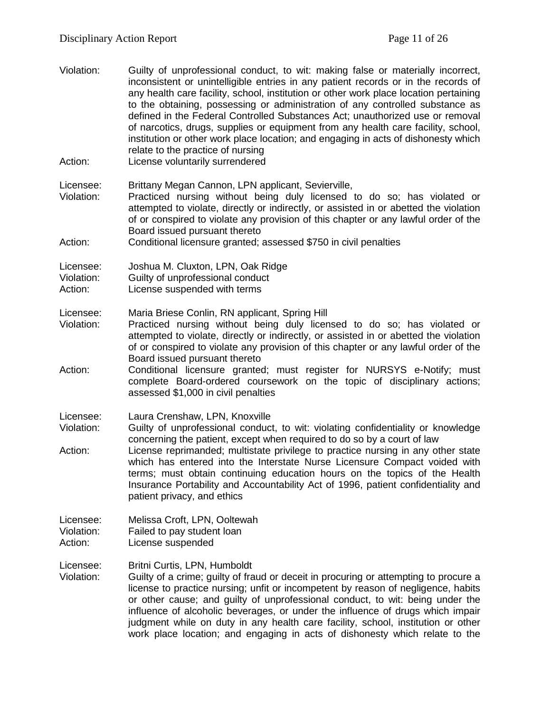- Violation: Guilty of unprofessional conduct, to wit: making false or materially incorrect, inconsistent or unintelligible entries in any patient records or in the records of any health care facility, school, institution or other work place location pertaining to the obtaining, possessing or administration of any controlled substance as defined in the Federal Controlled Substances Act; unauthorized use or removal of narcotics, drugs, supplies or equipment from any health care facility, school, institution or other work place location; and engaging in acts of dishonesty which relate to the practice of nursing
- Action: License voluntarily surrendered

Licensee: Brittany Megan Cannon, LPN applicant, Sevierville,

Violation: Practiced nursing without being duly licensed to do so; has violated or attempted to violate, directly or indirectly, or assisted in or abetted the violation of or conspired to violate any provision of this chapter or any lawful order of the Board issued pursuant thereto

#### Action: Conditional licensure granted; assessed \$750 in civil penalties

Licensee: Joshua M. Cluxton, LPN, Oak Ridge<br>Violation: Guilty of unprofessional conduct

- Violation: Guilty of unprofessional conduct<br>Action: License suspended with terms
- License suspended with terms
- Licensee: Maria Briese Conlin, RN applicant, Spring Hill<br>Violation: Practiced nursing without being duly licen
- Practiced nursing without being duly licensed to do so; has violated or attempted to violate, directly or indirectly, or assisted in or abetted the violation of or conspired to violate any provision of this chapter or any lawful order of the Board issued pursuant thereto
- Action: Conditional licensure granted; must register for NURSYS e-Notify; must complete Board-ordered coursework on the topic of disciplinary actions; assessed \$1,000 in civil penalties
- Licensee: Laura Crenshaw, LPN, Knoxville
- Violation: Guilty of unprofessional conduct, to wit: violating confidentiality or knowledge concerning the patient, except when required to do so by a court of law
- Action: License reprimanded; multistate privilege to practice nursing in any other state which has entered into the Interstate Nurse Licensure Compact voided with terms; must obtain continuing education hours on the topics of the Health Insurance Portability and Accountability Act of 1996, patient confidentiality and patient privacy, and ethics
- Licensee: Melissa Croft, LPN, Ooltewah Violation: Failed to pay student loan
- Action: License suspended
- Licensee: Britni Curtis, LPN, Humboldt
- Violation: Guilty of a crime; guilty of fraud or deceit in procuring or attempting to procure a license to practice nursing; unfit or incompetent by reason of negligence, habits or other cause; and guilty of unprofessional conduct, to wit: being under the influence of alcoholic beverages, or under the influence of drugs which impair judgment while on duty in any health care facility, school, institution or other work place location; and engaging in acts of dishonesty which relate to the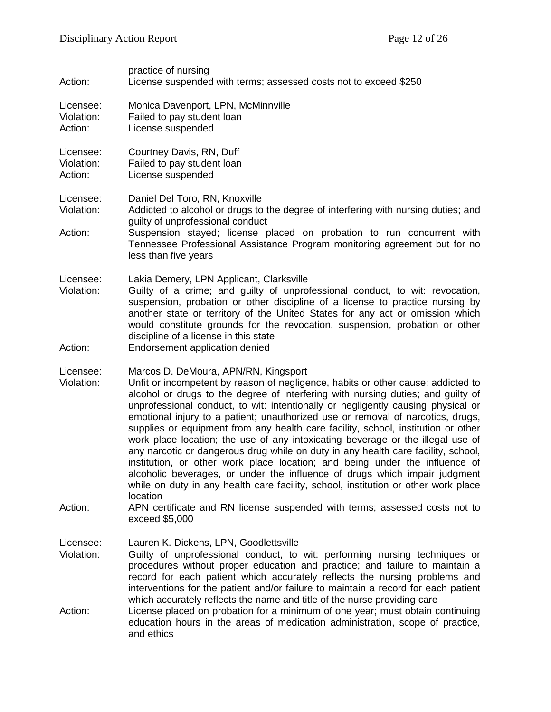| Action:                            | practice of nursing<br>License suspended with terms; assessed costs not to exceed \$250                                                                                                                                                                                                                                                                                                                                                                                                                                                                                                                                                                                                                                                                                                                                                                                                                                                                                                                         |
|------------------------------------|-----------------------------------------------------------------------------------------------------------------------------------------------------------------------------------------------------------------------------------------------------------------------------------------------------------------------------------------------------------------------------------------------------------------------------------------------------------------------------------------------------------------------------------------------------------------------------------------------------------------------------------------------------------------------------------------------------------------------------------------------------------------------------------------------------------------------------------------------------------------------------------------------------------------------------------------------------------------------------------------------------------------|
| Licensee:<br>Violation:<br>Action: | Monica Davenport, LPN, McMinnville<br>Failed to pay student loan<br>License suspended                                                                                                                                                                                                                                                                                                                                                                                                                                                                                                                                                                                                                                                                                                                                                                                                                                                                                                                           |
| Licensee:<br>Violation:<br>Action: | Courtney Davis, RN, Duff<br>Failed to pay student loan<br>License suspended                                                                                                                                                                                                                                                                                                                                                                                                                                                                                                                                                                                                                                                                                                                                                                                                                                                                                                                                     |
| Licensee:<br>Violation:<br>Action: | Daniel Del Toro, RN, Knoxville<br>Addicted to alcohol or drugs to the degree of interfering with nursing duties; and<br>guilty of unprofessional conduct<br>Suspension stayed; license placed on probation to run concurrent with<br>Tennessee Professional Assistance Program monitoring agreement but for no<br>less than five years                                                                                                                                                                                                                                                                                                                                                                                                                                                                                                                                                                                                                                                                          |
| Licensee:<br>Violation:<br>Action: | Lakia Demery, LPN Applicant, Clarksville<br>Guilty of a crime; and guilty of unprofessional conduct, to wit: revocation,<br>suspension, probation or other discipline of a license to practice nursing by<br>another state or territory of the United States for any act or omission which<br>would constitute grounds for the revocation, suspension, probation or other<br>discipline of a license in this state<br>Endorsement application denied                                                                                                                                                                                                                                                                                                                                                                                                                                                                                                                                                            |
| Licensee:<br>Violation:<br>Action: | Marcos D. DeMoura, APN/RN, Kingsport<br>Unfit or incompetent by reason of negligence, habits or other cause; addicted to<br>alcohol or drugs to the degree of interfering with nursing duties; and guilty of<br>unprofessional conduct, to wit: intentionally or negligently causing physical or<br>emotional injury to a patient; unauthorized use or removal of narcotics, drugs,<br>supplies or equipment from any health care facility, school, institution or other<br>work place location; the use of any intoxicating beverage or the illegal use of<br>any narcotic or dangerous drug while on duty in any health care facility, school,<br>institution, or other work place location; and being under the influence of<br>alcoholic beverages, or under the influence of drugs which impair judgment<br>while on duty in any health care facility, school, institution or other work place<br>location<br>APN certificate and RN license suspended with terms; assessed costs not to<br>exceed \$5,000 |
| Licensee:<br>Violation:<br>Action: | Lauren K. Dickens, LPN, Goodlettsville<br>Guilty of unprofessional conduct, to wit: performing nursing techniques or<br>procedures without proper education and practice; and failure to maintain a<br>record for each patient which accurately reflects the nursing problems and<br>interventions for the patient and/or failure to maintain a record for each patient<br>which accurately reflects the name and title of the nurse providing care<br>License placed on probation for a minimum of one year; must obtain continuing<br>education hours in the areas of medication administration, scope of practice,<br>and ethics                                                                                                                                                                                                                                                                                                                                                                             |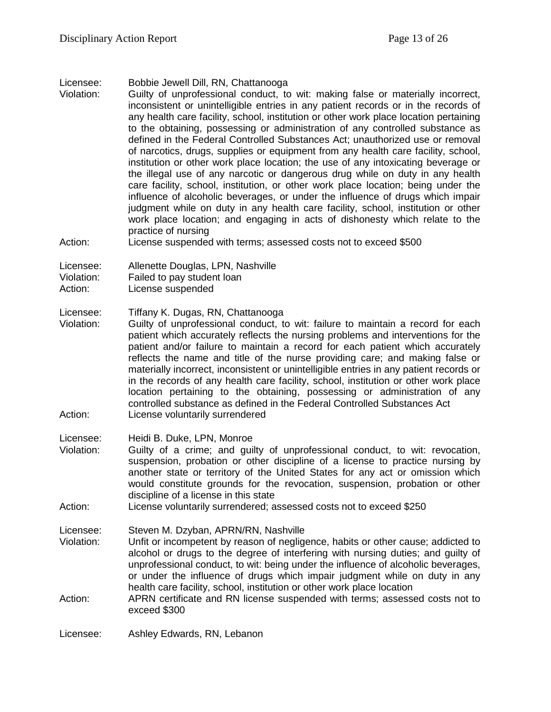Licensee: Bobbie Jewell Dill, RN, Chattanooga

Violation: Guilty of unprofessional conduct, to wit: making false or materially incorrect, inconsistent or unintelligible entries in any patient records or in the records of any health care facility, school, institution or other work place location pertaining to the obtaining, possessing or administration of any controlled substance as defined in the Federal Controlled Substances Act; unauthorized use or removal of narcotics, drugs, supplies or equipment from any health care facility, school, institution or other work place location; the use of any intoxicating beverage or the illegal use of any narcotic or dangerous drug while on duty in any health care facility, school, institution, or other work place location; being under the influence of alcoholic beverages, or under the influence of drugs which impair judgment while on duty in any health care facility, school, institution or other work place location; and engaging in acts of dishonesty which relate to the practice of nursing

Action: License suspended with terms; assessed costs not to exceed \$500

Licensee: Allenette Douglas, LPN, Nashville

Violation: Failed to pay student loan

Action: License suspended

Licensee: Tiffany K. Dugas, RN, Chattanooga

Violation: Guilty of unprofessional conduct, to wit: failure to maintain a record for each patient which accurately reflects the nursing problems and interventions for the patient and/or failure to maintain a record for each patient which accurately reflects the name and title of the nurse providing care; and making false or materially incorrect, inconsistent or unintelligible entries in any patient records or in the records of any health care facility, school, institution or other work place location pertaining to the obtaining, possessing or administration of any controlled substance as defined in the Federal Controlled Substances Act Action: License voluntarily surrendered

Licensee: Heidi B. Duke, LPN, Monroe

- Violation: Guilty of a crime; and guilty of unprofessional conduct, to wit: revocation, suspension, probation or other discipline of a license to practice nursing by another state or territory of the United States for any act or omission which would constitute grounds for the revocation, suspension, probation or other discipline of a license in this state
- Action: License voluntarily surrendered; assessed costs not to exceed \$250

Licensee: Steven M. Dzyban, APRN/RN, Nashville

- Violation: Unfit or incompetent by reason of negligence, habits or other cause; addicted to alcohol or drugs to the degree of interfering with nursing duties; and guilty of unprofessional conduct, to wit: being under the influence of alcoholic beverages, or under the influence of drugs which impair judgment while on duty in any health care facility, school, institution or other work place location
- Action: APRN certificate and RN license suspended with terms; assessed costs not to exceed \$300

Licensee: Ashley Edwards, RN, Lebanon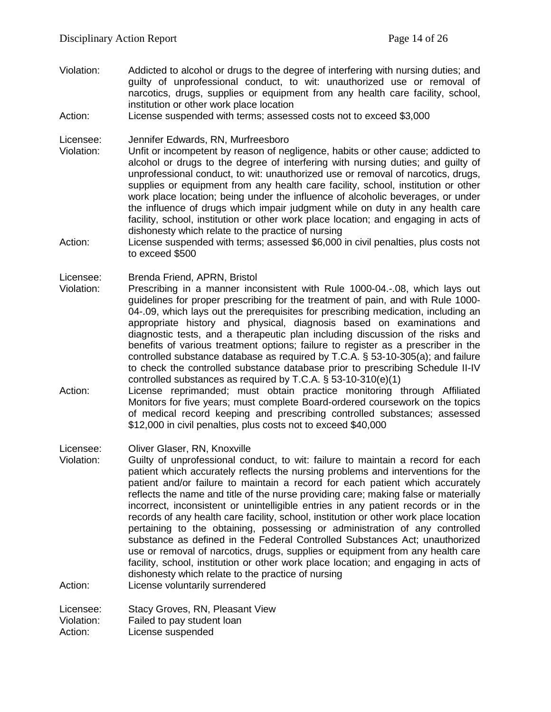- Violation: Addicted to alcohol or drugs to the degree of interfering with nursing duties; and guilty of unprofessional conduct, to wit: unauthorized use or removal of narcotics, drugs, supplies or equipment from any health care facility, school, institution or other work place location
- Action: License suspended with terms; assessed costs not to exceed \$3,000

Licensee: Jennifer Edwards, RN, Murfreesboro

- Violation: Unfit or incompetent by reason of negligence, habits or other cause; addicted to alcohol or drugs to the degree of interfering with nursing duties; and guilty of unprofessional conduct, to wit: unauthorized use or removal of narcotics, drugs, supplies or equipment from any health care facility, school, institution or other work place location; being under the influence of alcoholic beverages, or under the influence of drugs which impair judgment while on duty in any health care facility, school, institution or other work place location; and engaging in acts of dishonesty which relate to the practice of nursing
- Action: License suspended with terms; assessed \$6,000 in civil penalties, plus costs not to exceed \$500

Licensee: Brenda Friend, APRN, Bristol

- Violation: Prescribing in a manner inconsistent with Rule 1000-04.-.08, which lays out guidelines for proper prescribing for the treatment of pain, and with Rule 1000- 04-.09, which lays out the prerequisites for prescribing medication, including an appropriate history and physical, diagnosis based on examinations and diagnostic tests, and a therapeutic plan including discussion of the risks and benefits of various treatment options; failure to register as a prescriber in the controlled substance database as required by T.C.A. § 53-10-305(a); and failure to check the controlled substance database prior to prescribing Schedule II-IV controlled substances as required by T.C.A. § 53-10-310(e)(1)
- Action: License reprimanded; must obtain practice monitoring through Affiliated Monitors for five years; must complete Board-ordered coursework on the topics of medical record keeping and prescribing controlled substances; assessed \$12,000 in civil penalties, plus costs not to exceed \$40,000

Licensee: Oliver Glaser, RN, Knoxville

Violation: Guilty of unprofessional conduct, to wit: failure to maintain a record for each patient which accurately reflects the nursing problems and interventions for the patient and/or failure to maintain a record for each patient which accurately reflects the name and title of the nurse providing care; making false or materially incorrect, inconsistent or unintelligible entries in any patient records or in the records of any health care facility, school, institution or other work place location pertaining to the obtaining, possessing or administration of any controlled substance as defined in the Federal Controlled Substances Act; unauthorized use or removal of narcotics, drugs, supplies or equipment from any health care facility, school, institution or other work place location; and engaging in acts of dishonesty which relate to the practice of nursing Action: License voluntarily surrendered

Licensee: Stacy Groves, RN, Pleasant View

Violation: Failed to pay student loan

Action: License suspended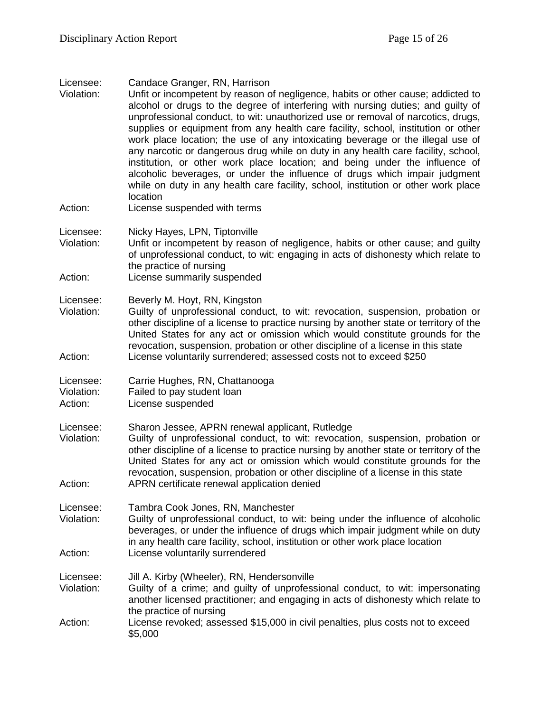| Licensee: | Candace Granger, RN, Harrison |  |
|-----------|-------------------------------|--|
|-----------|-------------------------------|--|

- Violation: Unfit or incompetent by reason of negligence, habits or other cause; addicted to alcohol or drugs to the degree of interfering with nursing duties; and guilty of unprofessional conduct, to wit: unauthorized use or removal of narcotics, drugs, supplies or equipment from any health care facility, school, institution or other work place location; the use of any intoxicating beverage or the illegal use of any narcotic or dangerous drug while on duty in any health care facility, school, institution, or other work place location; and being under the influence of alcoholic beverages, or under the influence of drugs which impair judgment while on duty in any health care facility, school, institution or other work place location
- Action: License suspended with terms
- Licensee: Nicky Hayes, LPN, Tiptonville
- Violation: Unfit or incompetent by reason of negligence, habits or other cause; and guilty of unprofessional conduct, to wit: engaging in acts of dishonesty which relate to the practice of nursing
- Action: License summarily suspended
- Licensee: Beverly M. Hoyt, RN, Kingston
- Violation: Guilty of unprofessional conduct, to wit: revocation, suspension, probation or other discipline of a license to practice nursing by another state or territory of the United States for any act or omission which would constitute grounds for the revocation, suspension, probation or other discipline of a license in this state Action: License voluntarily surrendered; assessed costs not to exceed \$250
- Licensee: Carrie Hughes, RN, Chattanooga
- Violation: Failed to pay student loan
- Action: License suspended
- Licensee: Sharon Jessee, APRN renewal applicant, Rutledge<br>Violation: Guilty of unprofessional conduct, to wit: revocatio
- Guilty of unprofessional conduct, to wit: revocation, suspension, probation or other discipline of a license to practice nursing by another state or territory of the United States for any act or omission which would constitute grounds for the revocation, suspension, probation or other discipline of a license in this state Action: APRN certificate renewal application denied
- Licensee: Tambra Cook Jones, RN, Manchester
- Violation: Guilty of unprofessional conduct, to wit: being under the influence of alcoholic beverages, or under the influence of drugs which impair judgment while on duty in any health care facility, school, institution or other work place location Action: License voluntarily surrendered
- Licensee: Jill A. Kirby (Wheeler), RN, Hendersonville
- Violation: Guilty of a crime; and guilty of unprofessional conduct, to wit: impersonating another licensed practitioner; and engaging in acts of dishonesty which relate to the practice of nursing
- Action: License revoked; assessed \$15,000 in civil penalties, plus costs not to exceed \$5,000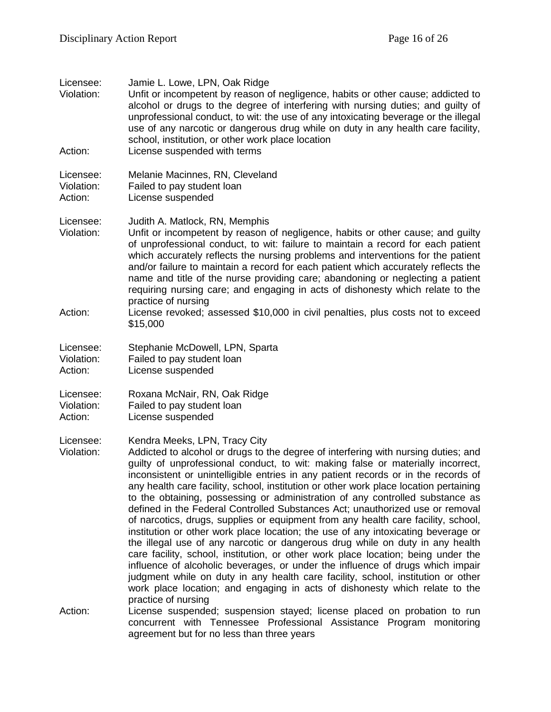| Licensee:<br>Violation:            | Jamie L. Lowe, LPN, Oak Ridge<br>Unfit or incompetent by reason of negligence, habits or other cause; addicted to<br>alcohol or drugs to the degree of interfering with nursing duties; and guilty of<br>unprofessional conduct, to wit: the use of any intoxicating beverage or the illegal<br>use of any narcotic or dangerous drug while on duty in any health care facility,<br>school, institution, or other work place location                                                                                                                                                                                                                                                                                                                                                                                                                                                                                                                                                                                                                                                                                                                                               |
|------------------------------------|-------------------------------------------------------------------------------------------------------------------------------------------------------------------------------------------------------------------------------------------------------------------------------------------------------------------------------------------------------------------------------------------------------------------------------------------------------------------------------------------------------------------------------------------------------------------------------------------------------------------------------------------------------------------------------------------------------------------------------------------------------------------------------------------------------------------------------------------------------------------------------------------------------------------------------------------------------------------------------------------------------------------------------------------------------------------------------------------------------------------------------------------------------------------------------------|
| Action:                            | License suspended with terms                                                                                                                                                                                                                                                                                                                                                                                                                                                                                                                                                                                                                                                                                                                                                                                                                                                                                                                                                                                                                                                                                                                                                        |
| Licensee:<br>Violation:<br>Action: | Melanie Macinnes, RN, Cleveland<br>Failed to pay student loan<br>License suspended                                                                                                                                                                                                                                                                                                                                                                                                                                                                                                                                                                                                                                                                                                                                                                                                                                                                                                                                                                                                                                                                                                  |
| Licensee:<br>Violation:            | Judith A. Matlock, RN, Memphis<br>Unfit or incompetent by reason of negligence, habits or other cause; and guilty<br>of unprofessional conduct, to wit: failure to maintain a record for each patient<br>which accurately reflects the nursing problems and interventions for the patient<br>and/or failure to maintain a record for each patient which accurately reflects the<br>name and title of the nurse providing care; abandoning or neglecting a patient<br>requiring nursing care; and engaging in acts of dishonesty which relate to the<br>practice of nursing                                                                                                                                                                                                                                                                                                                                                                                                                                                                                                                                                                                                          |
| Action:                            | License revoked; assessed \$10,000 in civil penalties, plus costs not to exceed<br>\$15,000                                                                                                                                                                                                                                                                                                                                                                                                                                                                                                                                                                                                                                                                                                                                                                                                                                                                                                                                                                                                                                                                                         |
| Licensee:<br>Violation:<br>Action: | Stephanie McDowell, LPN, Sparta<br>Failed to pay student loan<br>License suspended                                                                                                                                                                                                                                                                                                                                                                                                                                                                                                                                                                                                                                                                                                                                                                                                                                                                                                                                                                                                                                                                                                  |
| Licensee:<br>Violation:<br>Action: | Roxana McNair, RN, Oak Ridge<br>Failed to pay student loan<br>License suspended                                                                                                                                                                                                                                                                                                                                                                                                                                                                                                                                                                                                                                                                                                                                                                                                                                                                                                                                                                                                                                                                                                     |
| Licensee:<br>Violation:            | Kendra Meeks, LPN, Tracy City<br>Addicted to alcohol or drugs to the degree of interfering with nursing duties; and<br>guilty of unprofessional conduct, to wit: making false or materially incorrect,<br>inconsistent or unintelligible entries in any patient records or in the records of<br>any health care facility, school, institution or other work place location pertaining<br>to the obtaining, possessing or administration of any controlled substance as<br>defined in the Federal Controlled Substances Act; unauthorized use or removal<br>of narcotics, drugs, supplies or equipment from any health care facility, school,<br>institution or other work place location; the use of any intoxicating beverage or<br>the illegal use of any narcotic or dangerous drug while on duty in any health<br>care facility, school, institution, or other work place location; being under the<br>influence of alcoholic beverages, or under the influence of drugs which impair<br>judgment while on duty in any health care facility, school, institution or other<br>work place location; and engaging in acts of dishonesty which relate to the<br>practice of nursing |
| Action:                            | License suspended; suspension stayed; license placed on probation to run<br>concurrent with Tennessee Professional Assistance Program monitoring<br>agreement but for no less than three years                                                                                                                                                                                                                                                                                                                                                                                                                                                                                                                                                                                                                                                                                                                                                                                                                                                                                                                                                                                      |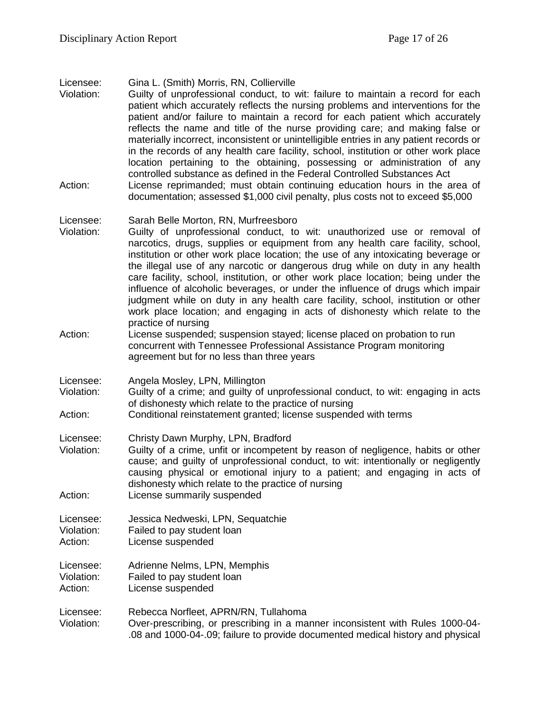Licensee: Gina L. (Smith) Morris, RN, Collierville

Violation: Guilty of unprofessional conduct, to wit: failure to maintain a record for each patient which accurately reflects the nursing problems and interventions for the patient and/or failure to maintain a record for each patient which accurately reflects the name and title of the nurse providing care; and making false or materially incorrect, inconsistent or unintelligible entries in any patient records or in the records of any health care facility, school, institution or other work place location pertaining to the obtaining, possessing or administration of any controlled substance as defined in the Federal Controlled Substances Act Action: License reprimanded; must obtain continuing education hours in the area of documentation; assessed \$1,000 civil penalty, plus costs not to exceed \$5,000

#### Licensee: Sarah Belle Morton, RN, Murfreesboro

- Violation: Guilty of unprofessional conduct, to wit: unauthorized use or removal of narcotics, drugs, supplies or equipment from any health care facility, school, institution or other work place location; the use of any intoxicating beverage or the illegal use of any narcotic or dangerous drug while on duty in any health care facility, school, institution, or other work place location; being under the influence of alcoholic beverages, or under the influence of drugs which impair judgment while on duty in any health care facility, school, institution or other work place location; and engaging in acts of dishonesty which relate to the practice of nursing
- Action: License suspended; suspension stayed; license placed on probation to run concurrent with Tennessee Professional Assistance Program monitoring agreement but for no less than three years
- Licensee: Angela Mosley, LPN, Millington<br>Violation: Guilty of a crime: and quilty of
- Guilty of a crime; and guilty of unprofessional conduct, to wit: engaging in acts of dishonesty which relate to the practice of nursing
- Action: Conditional reinstatement granted; license suspended with terms

Licensee: Christy Dawn Murphy, LPN, Bradford

- Violation: Guilty of a crime, unfit or incompetent by reason of negligence, habits or other cause; and guilty of unprofessional conduct, to wit: intentionally or negligently causing physical or emotional injury to a patient; and engaging in acts of dishonesty which relate to the practice of nursing
- Action: License summarily suspended

Licensee: Jessica Nedweski, LPN, Sequatchie Violation: Failed to pay student loan Action: License suspended

Licensee: Adrienne Nelms, LPN, Memphis Violation: Failed to pay student loan

Action: License suspended

Licensee: Rebecca Norfleet, APRN/RN, Tullahoma Violation: Over-prescribing, or prescribing in a manner inconsistent with Rules 1000-04- .08 and 1000-04-.09; failure to provide documented medical history and physical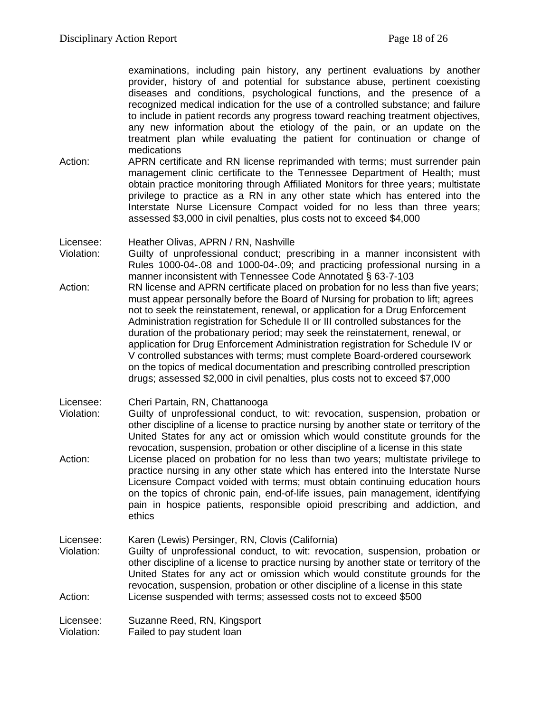examinations, including pain history, any pertinent evaluations by another provider, history of and potential for substance abuse, pertinent coexisting diseases and conditions, psychological functions, and the presence of a recognized medical indication for the use of a controlled substance; and failure to include in patient records any progress toward reaching treatment objectives, any new information about the etiology of the pain, or an update on the treatment plan while evaluating the patient for continuation or change of medications

Action: APRN certificate and RN license reprimanded with terms; must surrender pain management clinic certificate to the Tennessee Department of Health; must obtain practice monitoring through Affiliated Monitors for three years; multistate privilege to practice as a RN in any other state which has entered into the Interstate Nurse Licensure Compact voided for no less than three years; assessed \$3,000 in civil penalties, plus costs not to exceed \$4,000

Licensee: Heather Olivas, APRN / RN, Nashville

- Violation: Guilty of unprofessional conduct; prescribing in a manner inconsistent with Rules 1000-04-.08 and 1000-04-.09; and practicing professional nursing in a manner inconsistent with Tennessee Code Annotated § 63-7-103
- Action: RN license and APRN certificate placed on probation for no less than five years; must appear personally before the Board of Nursing for probation to lift; agrees not to seek the reinstatement, renewal, or application for a Drug Enforcement Administration registration for Schedule II or III controlled substances for the duration of the probationary period; may seek the reinstatement, renewal, or application for Drug Enforcement Administration registration for Schedule IV or V controlled substances with terms; must complete Board-ordered coursework on the topics of medical documentation and prescribing controlled prescription drugs; assessed \$2,000 in civil penalties, plus costs not to exceed \$7,000
- Licensee: Cheri Partain, RN, Chattanooga
- Violation: Guilty of unprofessional conduct, to wit: revocation, suspension, probation or other discipline of a license to practice nursing by another state or territory of the United States for any act or omission which would constitute grounds for the revocation, suspension, probation or other discipline of a license in this state Action: License placed on probation for no less than two years; multistate privilege to practice nursing in any other state which has entered into the Interstate Nurse Licensure Compact voided with terms; must obtain continuing education hours on the topics of chronic pain, end-of-life issues, pain management, identifying pain in hospice patients, responsible opioid prescribing and addiction, and ethics
- Licensee: Karen (Lewis) Persinger, RN, Clovis (California) Violation: Guilty of unprofessional conduct, to wit: revocation, suspension, probation or other discipline of a license to practice nursing by another state or territory of the United States for any act or omission which would constitute grounds for the revocation, suspension, probation or other discipline of a license in this state Action: License suspended with terms; assessed costs not to exceed \$500

Licensee: Suzanne Reed, RN, Kingsport Violation: Failed to pay student loan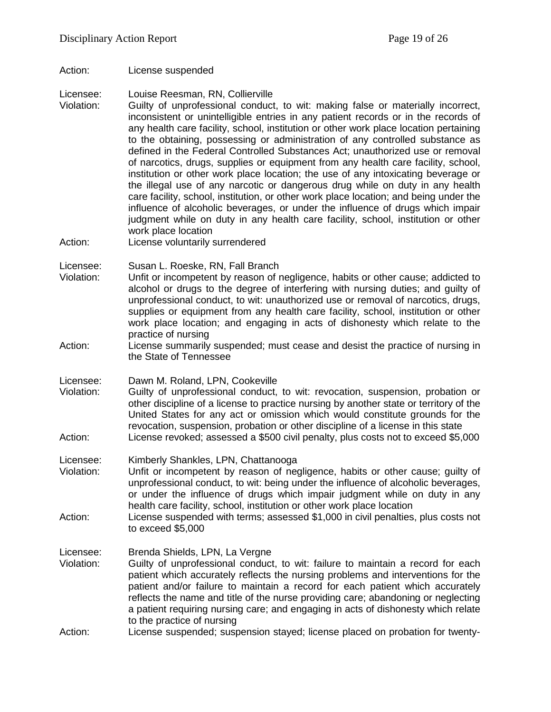Action: License suspended

Licensee: Louise Reesman, RN, Collierville

- Violation: Guilty of unprofessional conduct, to wit: making false or materially incorrect, inconsistent or unintelligible entries in any patient records or in the records of any health care facility, school, institution or other work place location pertaining to the obtaining, possessing or administration of any controlled substance as defined in the Federal Controlled Substances Act; unauthorized use or removal of narcotics, drugs, supplies or equipment from any health care facility, school, institution or other work place location; the use of any intoxicating beverage or the illegal use of any narcotic or dangerous drug while on duty in any health care facility, school, institution, or other work place location; and being under the influence of alcoholic beverages, or under the influence of drugs which impair judgment while on duty in any health care facility, school, institution or other work place location
- Action: License voluntarily surrendered

Licensee: Susan L. Roeske, RN, Fall Branch

- Violation: Unfit or incompetent by reason of negligence, habits or other cause; addicted to alcohol or drugs to the degree of interfering with nursing duties; and guilty of unprofessional conduct, to wit: unauthorized use or removal of narcotics, drugs, supplies or equipment from any health care facility, school, institution or other work place location; and engaging in acts of dishonesty which relate to the practice of nursing
- Action: License summarily suspended; must cease and desist the practice of nursing in the State of Tennessee

Licensee: Dawn M. Roland, LPN, Cookeville<br>Violation: Guilty of unprofessional conduct.

- Guilty of unprofessional conduct, to wit: revocation, suspension, probation or other discipline of a license to practice nursing by another state or territory of the United States for any act or omission which would constitute grounds for the revocation, suspension, probation or other discipline of a license in this state Action: License revoked; assessed a \$500 civil penalty, plus costs not to exceed \$5,000
- 
- Licensee: Kimberly Shankles, LPN, Chattanooga<br>Violation: Unfit or incompetent by reason of nec Unfit or incompetent by reason of negligence, habits or other cause; guilty of unprofessional conduct, to wit: being under the influence of alcoholic beverages, or under the influence of drugs which impair judgment while on duty in any health care facility, school, institution or other work place location
- Action: License suspended with terms; assessed \$1,000 in civil penalties, plus costs not to exceed \$5,000

Licensee: Brenda Shields, LPN, La Vergne

- Violation: Guilty of unprofessional conduct, to wit: failure to maintain a record for each patient which accurately reflects the nursing problems and interventions for the patient and/or failure to maintain a record for each patient which accurately reflects the name and title of the nurse providing care; abandoning or neglecting a patient requiring nursing care; and engaging in acts of dishonesty which relate to the practice of nursing
- Action: License suspended; suspension stayed; license placed on probation for twenty-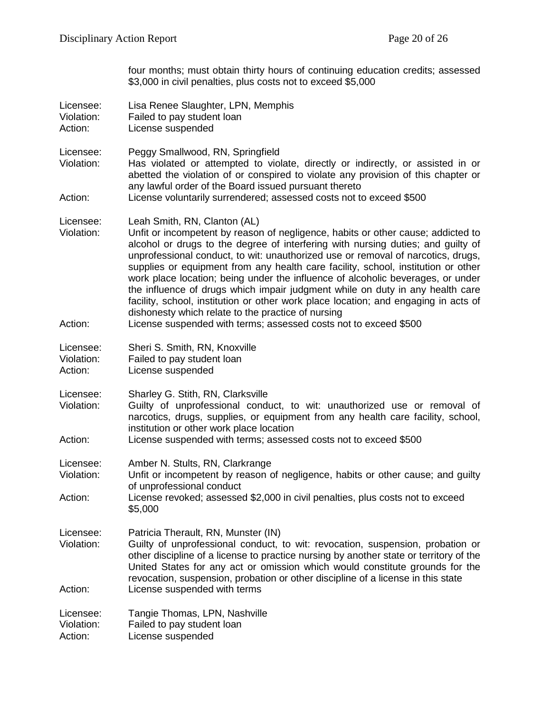four months; must obtain thirty hours of continuing education credits; assessed \$3,000 in civil penalties, plus costs not to exceed \$5,000

| Licensee:<br>Violation:<br>Action: | Lisa Renee Slaughter, LPN, Memphis<br>Failed to pay student loan<br>License suspended                                                                                                                                                                                                                                                                                                                                                                                                                                                                                                                                                                                                                                                                              |
|------------------------------------|--------------------------------------------------------------------------------------------------------------------------------------------------------------------------------------------------------------------------------------------------------------------------------------------------------------------------------------------------------------------------------------------------------------------------------------------------------------------------------------------------------------------------------------------------------------------------------------------------------------------------------------------------------------------------------------------------------------------------------------------------------------------|
| Licensee:<br>Violation:<br>Action: | Peggy Smallwood, RN, Springfield<br>Has violated or attempted to violate, directly or indirectly, or assisted in or<br>abetted the violation of or conspired to violate any provision of this chapter or<br>any lawful order of the Board issued pursuant thereto<br>License voluntarily surrendered; assessed costs not to exceed \$500                                                                                                                                                                                                                                                                                                                                                                                                                           |
|                                    |                                                                                                                                                                                                                                                                                                                                                                                                                                                                                                                                                                                                                                                                                                                                                                    |
| Licensee:<br>Violation:<br>Action: | Leah Smith, RN, Clanton (AL)<br>Unfit or incompetent by reason of negligence, habits or other cause; addicted to<br>alcohol or drugs to the degree of interfering with nursing duties; and guilty of<br>unprofessional conduct, to wit: unauthorized use or removal of narcotics, drugs,<br>supplies or equipment from any health care facility, school, institution or other<br>work place location; being under the influence of alcoholic beverages, or under<br>the influence of drugs which impair judgment while on duty in any health care<br>facility, school, institution or other work place location; and engaging in acts of<br>dishonesty which relate to the practice of nursing<br>License suspended with terms; assessed costs not to exceed \$500 |
|                                    |                                                                                                                                                                                                                                                                                                                                                                                                                                                                                                                                                                                                                                                                                                                                                                    |
| Licensee:<br>Violation:<br>Action: | Sheri S. Smith, RN, Knoxville<br>Failed to pay student loan<br>License suspended                                                                                                                                                                                                                                                                                                                                                                                                                                                                                                                                                                                                                                                                                   |
| Licensee:<br>Violation:<br>Action: | Sharley G. Stith, RN, Clarksville<br>Guilty of unprofessional conduct, to wit: unauthorized use or removal of<br>narcotics, drugs, supplies, or equipment from any health care facility, school,<br>institution or other work place location<br>License suspended with terms; assessed costs not to exceed \$500                                                                                                                                                                                                                                                                                                                                                                                                                                                   |
|                                    |                                                                                                                                                                                                                                                                                                                                                                                                                                                                                                                                                                                                                                                                                                                                                                    |
| Licensee:<br>Violation:            | Amber N. Stults, RN, Clarkrange<br>Unfit or incompetent by reason of negligence, habits or other cause; and guilty<br>of unprofessional conduct                                                                                                                                                                                                                                                                                                                                                                                                                                                                                                                                                                                                                    |
| Action:                            | License revoked; assessed \$2,000 in civil penalties, plus costs not to exceed<br>\$5,000                                                                                                                                                                                                                                                                                                                                                                                                                                                                                                                                                                                                                                                                          |
| Licensee:<br>Violation:            | Patricia Therault, RN, Munster (IN)<br>Guilty of unprofessional conduct, to wit: revocation, suspension, probation or<br>other discipline of a license to practice nursing by another state or territory of the<br>United States for any act or omission which would constitute grounds for the<br>revocation, suspension, probation or other discipline of a license in this state                                                                                                                                                                                                                                                                                                                                                                                |
| Action:                            | License suspended with terms                                                                                                                                                                                                                                                                                                                                                                                                                                                                                                                                                                                                                                                                                                                                       |
| Licensee:<br>Violation:<br>Action: | Tangie Thomas, LPN, Nashville<br>Failed to pay student loan<br>License suspended                                                                                                                                                                                                                                                                                                                                                                                                                                                                                                                                                                                                                                                                                   |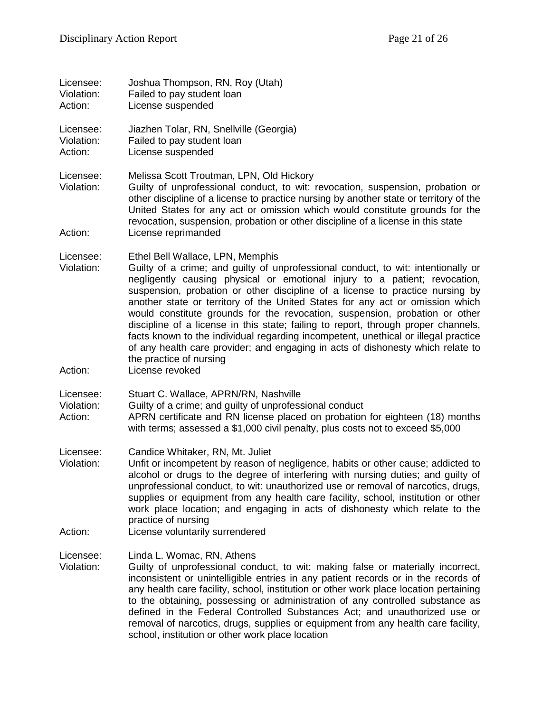| Licensee:<br>Violation:<br>Action: | Joshua Thompson, RN, Roy (Utah)<br>Failed to pay student loan<br>License suspended                                                                                                                                                                                                                                                                                                                                                                                                                                                                                                                                                                                                                                                             |
|------------------------------------|------------------------------------------------------------------------------------------------------------------------------------------------------------------------------------------------------------------------------------------------------------------------------------------------------------------------------------------------------------------------------------------------------------------------------------------------------------------------------------------------------------------------------------------------------------------------------------------------------------------------------------------------------------------------------------------------------------------------------------------------|
| Licensee:<br>Violation:<br>Action: | Jiazhen Tolar, RN, Snellville (Georgia)<br>Failed to pay student loan<br>License suspended                                                                                                                                                                                                                                                                                                                                                                                                                                                                                                                                                                                                                                                     |
| Licensee:<br>Violation:<br>Action: | Melissa Scott Troutman, LPN, Old Hickory<br>Guilty of unprofessional conduct, to wit: revocation, suspension, probation or<br>other discipline of a license to practice nursing by another state or territory of the<br>United States for any act or omission which would constitute grounds for the<br>revocation, suspension, probation or other discipline of a license in this state<br>License reprimanded                                                                                                                                                                                                                                                                                                                                |
|                                    |                                                                                                                                                                                                                                                                                                                                                                                                                                                                                                                                                                                                                                                                                                                                                |
| Licensee:<br>Violation:            | Ethel Bell Wallace, LPN, Memphis<br>Guilty of a crime; and guilty of unprofessional conduct, to wit: intentionally or<br>negligently causing physical or emotional injury to a patient; revocation,<br>suspension, probation or other discipline of a license to practice nursing by<br>another state or territory of the United States for any act or omission which<br>would constitute grounds for the revocation, suspension, probation or other<br>discipline of a license in this state; failing to report, through proper channels,<br>facts known to the individual regarding incompetent, unethical or illegal practice<br>of any health care provider; and engaging in acts of dishonesty which relate to<br>the practice of nursing |
| Action:                            | License revoked                                                                                                                                                                                                                                                                                                                                                                                                                                                                                                                                                                                                                                                                                                                                |
| Licensee:<br>Violation:<br>Action: | Stuart C. Wallace, APRN/RN, Nashville<br>Guilty of a crime; and guilty of unprofessional conduct<br>APRN certificate and RN license placed on probation for eighteen (18) months<br>with terms; assessed a \$1,000 civil penalty, plus costs not to exceed \$5,000                                                                                                                                                                                                                                                                                                                                                                                                                                                                             |
| Licensee:<br>Violation:            | Candice Whitaker, RN, Mt. Juliet<br>Unfit or incompetent by reason of negligence, habits or other cause; addicted to<br>alcohol or drugs to the degree of interfering with nursing duties; and guilty of<br>unprofessional conduct, to wit: unauthorized use or removal of narcotics, drugs,<br>supplies or equipment from any health care facility, school, institution or other<br>work place location; and engaging in acts of dishonesty which relate to the<br>practice of nursing                                                                                                                                                                                                                                                        |
| Action:                            | License voluntarily surrendered                                                                                                                                                                                                                                                                                                                                                                                                                                                                                                                                                                                                                                                                                                                |
| Licensee:<br>Violation:            | Linda L. Womac, RN, Athens<br>Guilty of unprofessional conduct, to wit: making false or materially incorrect,<br>inconsistent or unintelligible entries in any patient records or in the records of<br>any health care facility, school, institution or other work place location pertaining<br>to the obtaining, possessing or administration of any controlled substance as<br>defined in the Federal Controlled Substances Act; and unauthorized use or<br>removal of narcotics, drugs, supplies or equipment from any health care facility,<br>school, institution or other work place location                                                                                                                                            |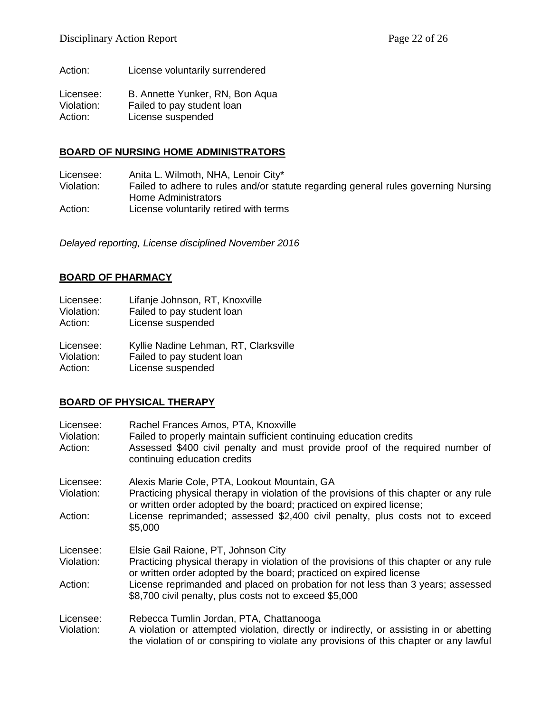Action: License voluntarily surrendered

Licensee: B. Annette Yunker, RN, Bon Aqua Violation: Failed to pay student loan Action: License suspended

#### **BOARD OF NURSING HOME ADMINISTRATORS**

Licensee: Anita L. Wilmoth, NHA, Lenoir City\*<br>Violation: Failed to adhere to rules and/or stail Failed to adhere to rules and/or statute regarding general rules governing Nursing Home Administrators Action: License voluntarily retired with terms

*Delayed reporting, License disciplined November 2016*

# **BOARD OF PHARMACY**

Licensee: Lifanje Johnson, RT, Knoxville Violation: Failed to pay student loan Action: License suspended Licensee: Kyllie Nadine Lehman, RT, Clarksville<br>Violation: Failed to pay student loan Failed to pay student loan Action: License suspended

# **BOARD OF PHYSICAL THERAPY**

| Licensee:<br>Violation:<br>Action: | Rachel Frances Amos, PTA, Knoxville<br>Failed to properly maintain sufficient continuing education credits<br>Assessed \$400 civil penalty and must provide proof of the required number of<br>continuing education credits  |
|------------------------------------|------------------------------------------------------------------------------------------------------------------------------------------------------------------------------------------------------------------------------|
| Licensee:<br>Violation:            | Alexis Marie Cole, PTA, Lookout Mountain, GA<br>Practicing physical therapy in violation of the provisions of this chapter or any rule<br>or written order adopted by the board; practiced on expired license;               |
| Action:                            | License reprimanded; assessed \$2,400 civil penalty, plus costs not to exceed<br>\$5,000                                                                                                                                     |
| Licensee:                          | Elsie Gail Raione, PT, Johnson City                                                                                                                                                                                          |
| Violation:                         | Practicing physical therapy in violation of the provisions of this chapter or any rule<br>or written order adopted by the board; practiced on expired license                                                                |
| Action:                            | License reprimanded and placed on probation for not less than 3 years; assessed<br>\$8,700 civil penalty, plus costs not to exceed \$5,000                                                                                   |
| Licensee:<br>Violation:            | Rebecca Tumlin Jordan, PTA, Chattanooga<br>A violation or attempted violation, directly or indirectly, or assisting in or abetting<br>the violation of or conspiring to violate any provisions of this chapter or any lawful |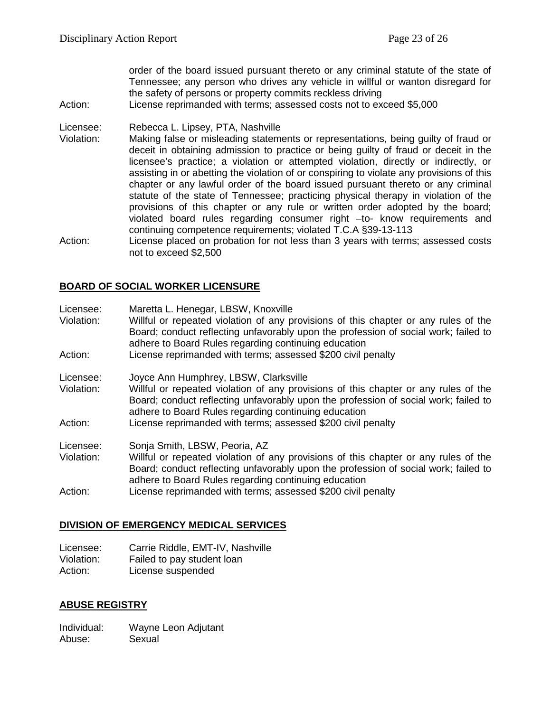order of the board issued pursuant thereto or any criminal statute of the state of Tennessee; any person who drives any vehicle in willful or wanton disregard for the safety of persons or property commits reckless driving

Action: License reprimanded with terms; assessed costs not to exceed \$5,000

#### Licensee: Rebecca L. Lipsey, PTA, Nashville

- Violation: Making false or misleading statements or representations, being guilty of fraud or deceit in obtaining admission to practice or being guilty of fraud or deceit in the licensee's practice; a violation or attempted violation, directly or indirectly, or assisting in or abetting the violation of or conspiring to violate any provisions of this chapter or any lawful order of the board issued pursuant thereto or any criminal statute of the state of Tennessee; practicing physical therapy in violation of the provisions of this chapter or any rule or written order adopted by the board; violated board rules regarding consumer right –to- know requirements and continuing competence requirements; violated T.C.A §39-13-113
- Action: License placed on probation for not less than 3 years with terms; assessed costs not to exceed \$2,500

# **BOARD OF SOCIAL WORKER LICENSURE**

| Licensee:<br>Violation: | Maretta L. Henegar, LBSW, Knoxville<br>Willful or repeated violation of any provisions of this chapter or any rules of the<br>Board; conduct reflecting unfavorably upon the profession of social work; failed to<br>adhere to Board Rules regarding continuing education |
|-------------------------|---------------------------------------------------------------------------------------------------------------------------------------------------------------------------------------------------------------------------------------------------------------------------|
| Action:                 | License reprimanded with terms; assessed \$200 civil penalty                                                                                                                                                                                                              |
| Licensee:               | Joyce Ann Humphrey, LBSW, Clarksville                                                                                                                                                                                                                                     |
| Violation:              | Willful or repeated violation of any provisions of this chapter or any rules of the<br>Board; conduct reflecting unfavorably upon the profession of social work; failed to<br>adhere to Board Rules regarding continuing education                                        |
| Action:                 | License reprimanded with terms; assessed \$200 civil penalty                                                                                                                                                                                                              |
| Licensee:               | Sonja Smith, LBSW, Peoria, AZ                                                                                                                                                                                                                                             |
| Violation:              | Willful or repeated violation of any provisions of this chapter or any rules of the<br>Board; conduct reflecting unfavorably upon the profession of social work; failed to<br>adhere to Board Rules regarding continuing education                                        |
| Action:                 | License reprimanded with terms; assessed \$200 civil penalty                                                                                                                                                                                                              |

# **DIVISION OF EMERGENCY MEDICAL SERVICES**

| Licensee:  | Carrie Riddle, EMT-IV, Nashville |
|------------|----------------------------------|
| Violation: | Failed to pay student loan       |
| Action:    | License suspended                |

# **ABUSE REGISTRY**

Individual: Wayne Leon Adjutant Abuse: Sexual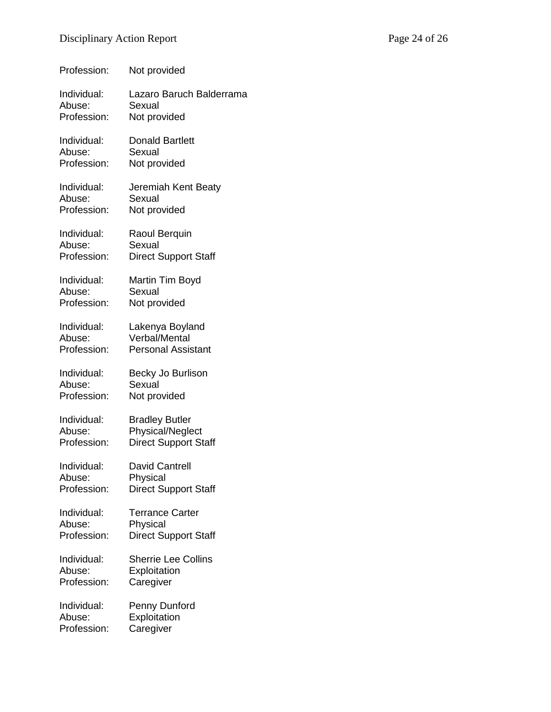| Profession: | Not provided                |
|-------------|-----------------------------|
| Individual: | Lazaro Baruch Balderrama    |
| Abuse:      | Sexual                      |
| Profession: | Not provided                |
| Individual: | <b>Donald Bartlett</b>      |
| Abuse:      | Sexual                      |
| Profession: | Not provided                |
| Individual: | Jeremiah Kent Beaty         |
| Abuse:      | Sexual                      |
| Profession: | Not provided                |
| Individual: | Raoul Berquin               |
| Abuse:      | Sexual                      |
| Profession: | <b>Direct Support Staff</b> |
| Individual: | Martin Tim Boyd             |
| Abuse:      | Sexual                      |
| Profession: | Not provided                |
| Individual: | Lakenya Boyland             |
| Abuse:      | <b>Verbal/Mental</b>        |
| Profession: | <b>Personal Assistant</b>   |
| Individual: | Becky Jo Burlison           |
| Abuse:      | Sexual                      |
| Profession: | Not provided                |
| Individual: | <b>Bradley Butler</b>       |
| Abuse:      | Physical/Neglect            |
| Profession: | <b>Direct Support Staff</b> |
| Individual: | David Cantrell              |
| Abuse:      | Physical                    |
| Profession: | <b>Direct Support Staff</b> |
| Individual: | <b>Terrance Carter</b>      |
| Abuse:      | Physical                    |
| Profession: | <b>Direct Support Staff</b> |
| Individual: | <b>Sherrie Lee Collins</b>  |
| Abuse:      | Exploitation                |
| Profession: | Caregiver                   |
| Individual: | Penny Dunford               |
| Abuse:      | Exploitation                |
| Profession: | Caregiver                   |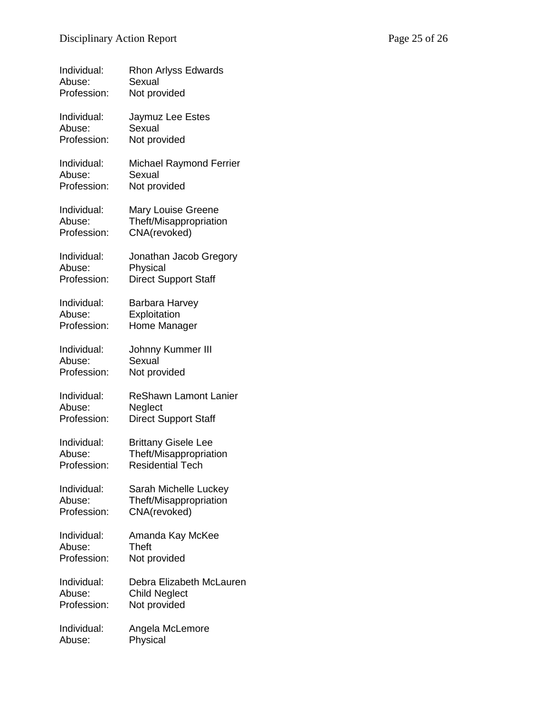| Individual: | <b>Rhon Arlyss Edwards</b>     |
|-------------|--------------------------------|
| Abuse:      | Sexual                         |
| Profession: | Not provided                   |
| Individual: | Jaymuz Lee Estes               |
| Abuse:      | Sexual                         |
| Profession: | Not provided                   |
| Individual: | <b>Michael Raymond Ferrier</b> |
| Abuse:      | Sexual                         |
| Profession: | Not provided                   |
| Individual: | <b>Mary Louise Greene</b>      |
| Abuse:      | Theft/Misappropriation         |
| Profession: | CNA(revoked)                   |
| Individual: | Jonathan Jacob Gregory         |
| Abuse:      | Physical                       |
| Profession: | <b>Direct Support Staff</b>    |
| Individual: | Barbara Harvey                 |
| Abuse:      | Exploitation                   |
| Profession: | Home Manager                   |
| Individual: | Johnny Kummer III              |
| Abuse:      | Sexual                         |
| Profession: | Not provided                   |
| Individual: | <b>ReShawn Lamont Lanier</b>   |
| Abuse:      | Neglect                        |
| Profession: | <b>Direct Support Staff</b>    |
| Individual: | <b>Brittany Gisele Lee</b>     |
| Abuse:      | Theft/Misappropriation         |
| Profession: | Residential Tech               |
| Individual: | Sarah Michelle Luckey          |
| Abuse:      | Theft/Misappropriation         |
| Profession: | CNA(revoked)                   |
| Individual: | Amanda Kay McKee               |
| Abuse:      | Theft                          |
| Profession: | Not provided                   |
| Individual: | Debra Elizabeth McLauren       |
| Abuse:      | <b>Child Neglect</b>           |
| Profession: | Not provided                   |
| Individual: | Angela McLemore                |
| Abuse:      | Physical                       |